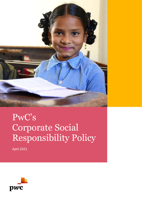

# PwC's Corporate Social Responsibility Policy

April 2021

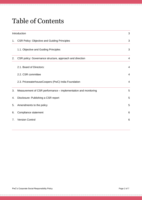# Table of Contents

. . . . . . . . . . . .

| Introduction   |                                                                |                |  |
|----------------|----------------------------------------------------------------|----------------|--|
| 1.             | <b>CSR Policy: Objective and Guiding Principles</b>            | 3              |  |
|                | 1.1. Objective and Guiding Principles                          | 3              |  |
| 2.             | CSR policy: Governance structure, approach and direction       | 4              |  |
|                | 2.1. Board of Directors:                                       | $\overline{4}$ |  |
|                | 2.2. CSR committee                                             | $\overline{4}$ |  |
|                | 2.3. PricewaterhouseCoopers (PwC) India Foundation             | $\overline{4}$ |  |
| 3.             | Measurement of CSR performance – implementation and monitoring | 5              |  |
| 4.             | Disclosure: Publishing a CSR report                            | 5              |  |
| 5.             | Amendments to the policy                                       | 5              |  |
| 6.             | Compliance statement                                           | 6              |  |
| 7 <sub>1</sub> | <b>Version Control</b>                                         | 6              |  |
|                |                                                                |                |  |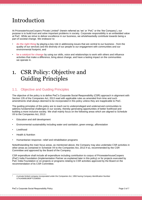# <span id="page-2-0"></span>Introduction

At PricewaterhouseCoopers Private Limited<sup>1</sup> (herein referred as 'we' or 'PwC' or the 'the Company'), our purpose is to build trust and solve important problems in society. Corporate responsibility is an embedded value at PwC. While we strive to deliver excellence in our business, we wholeheartedly contribute towards being a part of societal change. We endeavor to:

- **do the right thing** by playing a key role in addressing issues that are central to our business from the quality of our services and the diversity of our people to our engagement with communities and our environmental footprint, and
- **be a catalyst for change** by using our skills, voice and relationships to work with others and influence activities that make a difference, bring about change, and have a lasting impact on the communities we operate in.

### <span id="page-2-1"></span>1. CSR Policy: Objective and Guiding Principles

#### <span id="page-2-2"></span>1.1. Objective and Guiding Principles

The objective of the policy is to define PwC's Corporate Social Responsibility (CSR) approach in alignment with Section 135 of the Companies Act, 2013 read with applicable rules as amended from time and such amendments shall always deemed to be incorporated in this policy unless they are inapplicable to PwC.

The guiding principles of this policy are to reach out to underprivileged and underserved communities to address fundamental challenges in our society, thereby generating opportunities of better livelihood and building a more inclusive society. We shall mainly focus on the following areas which are aligned to Schedule VII to the Companies Act, 2013:

- Education and skill development
- Environmental sustainability including water and sanitation, green energy, afforestation
- **Livelihood**
- Health & Nutrition
- Humanitarian response– relief and rehabilitation programs

Notwithstanding the main focus areas, as mentioned above, the Company may also undertake CSR activities in other areas as contained in Schedule VII to the Companies Act, 2013 if so, recommended by the CSR Committee and approved by the Board of the Company.

CSR expenditure shall include all expenditure including contribution to corpus of PricewaterhouseCoopers (PwC) India Foundation (Implementation Partner as explained later in this policy) or for projects executed by PwC India Foundation or on projects or programs relating to CSR activities approved by the Board on the recommendation of its CSR Committee.

<sup>1</sup> A private limited company incorporated under the Companies Act, 1956 having Company Identification Number U74140WB1983PTC036093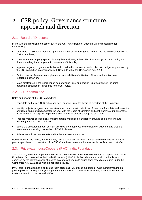# <span id="page-3-0"></span>2. CSR policy: Governance structure, approach and direction

#### <span id="page-3-1"></span>2.1. Board of Directors:

In line with the provisions of Section 135 of the Act, PwC's Board of Directors will be responsible for the following:

- Constitute a CSR committee and approve the CSR policy [taking into account the recommendations of the CSR Committee];
- Make sure the Company spends, in every financial year, at least 2% of its average net profit during the three preceding financial years, in pursuance of this policy;
- Approve projects, programs, activities and contained in the annual action plan with budget as proposed by the CSR committee in accordance with Schedule VII of the Companies Act, 2013;
- Define manner of execution / implementation, modalities of utilisation of funds and monitoring and reporting mechanism;
- Make disclosures in the Board report as per clause (o) of sub-section (3) of section 134 including particulars specified in Annexures to the CSR rules.

#### <span id="page-3-2"></span>2.2. CSR committee

Roles and powers of the CSR committee:

- Formulate and review CSR policy and seek approval from the Board of Directors of the Company.
- Identify projects, programs and activities in accordance with principles of selection, formulate and share the annual action plan with budget for the year with the Board of Directors and seek approval. Implement the activities either through the Implementation Partner or directly through its own team.
- Propose manner of execution / implementation, modalities of utilisation of funds and monitoring and reporting mechanism to the Board;
- Spend the allocated amount on CSR activities once approved by the Board of Directors and create a transparent monitoring mechanism of CSR initiatives.
- Submit periodic reports to the Board for the activities undertaken.

Notwithstanding the above, the Board may alter the said annual action plan at any time during the financial year, as per the recommendation of its CSR Committee, based on the reasonable justification to that effect.

#### <span id="page-3-3"></span>2.3. PricewaterhouseCoopers (PwC) India Foundation

The Company intends to implement most of its CSR activities through PricewaterhouseCoopers (PwC) India Foundation (also referred as PwC India Foundation). PwC India Foundation is a public charitable trust approved by the Commissioner of Income Tax and with requisite period track record as required under the Companies Act, 2013, read with the applicable Rules.

PwC India Foundation has a dedicated team across all PwC offices supporting NGOs in implementing onground projects, driving employee engagement and building capacities of societies, charitable foundations, trusts, section 8 companies and NGOs.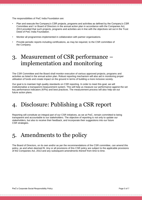The responsibilities of PwC India Foundation are:

- Plan and execute the Company's CSR projects, programs and activities as defined by the Company's CSR Committee and / or Board of Directors in the annual action plan in accordance with the Companies Act, 2013 provided that such projects, programs and activities are in line with the objectives set out in the Trust Deed of PwC India Foundation.
- Monitor all programmes implemented in collaboration with partner organisations.
- Provide periodic reports including certifications, as may be required, to the CSR committee of the Company.

## <span id="page-4-0"></span>3. Measurement of CSR performance – implementation and monitoring

The CSR Committee and the Board shall monitor execution of various approved projects, programs and activities as listed in the annual action plan. Robust reporting mechanism will also aid in monitoring proper utilisation of funds and create impact on the ground in terms of building a more inclusive society.

Our goal is to maintain high quality standards on CSR reporting. In order to meet this goal, we will institutionalise a transparent measurement system. This will help us measure our performance against the set key performance indicators (KPIs) and best practices. The measurement process will also help set out future action plans.

## <span id="page-4-1"></span>4. Disclosure: Publishing a CSR report

Reporting will constitute an integral part of our CSR initiatives, as we at PwC, remain committed to being transparent and accountable to our stakeholders. The objective of reporting is not only to update our stakeholders, but also to receive their feedback, and incorporate their suggestions into our future CSR strategies.

### <span id="page-4-2"></span>5. Amendments to the policy

The Board of Directors, on its own and/or as per the recommendations of the CSR committee, can amend this policy, as and when deemed fit. Any or all provisions of this CSR policy are subject to the applicable provisions of the Companies Act, 2013 and any subsequent amendments thereof from time to time.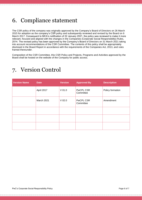# <span id="page-5-0"></span>6. Compliance statement

The CSR policy of the company was originally approved by the Company's Board of Directors on 26 March 2015 for adoption as the company's CSR policy and subsequently reviewed and revised by the Board on 6 March 2017. Consequent to MCA's notification of 22 January 2021, the policy was reviewed to make it more relevant, focused and aligned with the changes in the Companies (Corporate Social Responsibility) Rules, 2014. The revised policy has been approved by the Company's Board of Directors on 31 March 2021 taking into account recommendations of the CSR Committee. The contents of this policy shall be appropriately disclosed in the Board Report in accordance with the requirements of the Companies Act, 2013, and rules framed thereunder.

Composition of the CSR Committee, this CSR Policy and Projects, Programs and Activities approved by the Board shall be hosted on the website of the Company for public access.

## <span id="page-5-1"></span>7. Version Control

| <b>Version Name</b> | <b>Date</b> | <b>Version</b> | <b>Approved By</b>            | <b>Description</b> |
|---------------------|-------------|----------------|-------------------------------|--------------------|
|                     | April 2017  | $V$ 01.0       | <b>PwCPL CSR</b><br>Committee | Policy formation   |
|                     | March 2021  | $V$ 02.0       | <b>PwCPL CSR</b><br>Committee | Amendment          |
|                     |             |                |                               |                    |
|                     |             |                |                               |                    |
|                     |             |                |                               |                    |